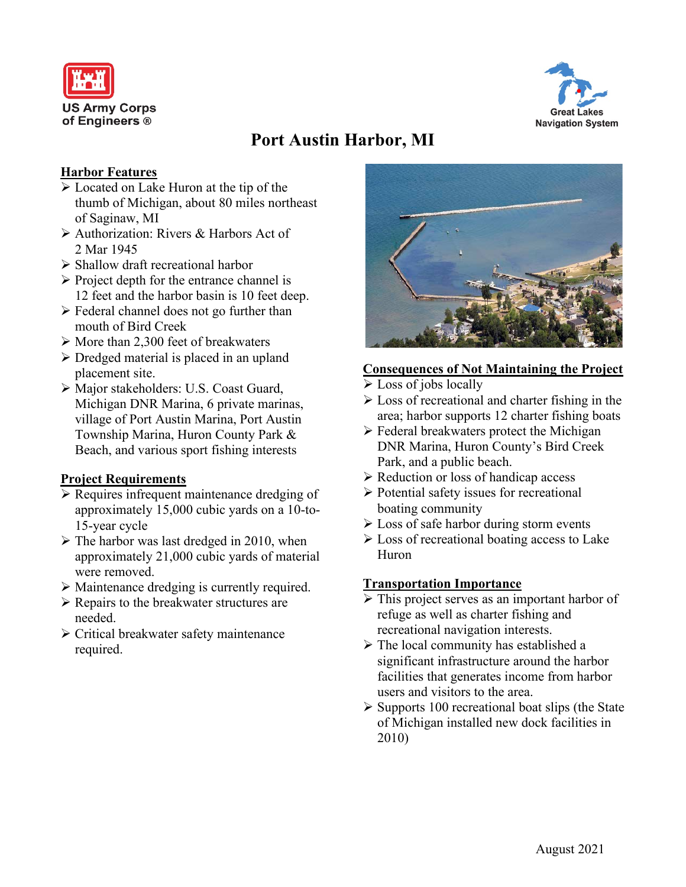



# **Port Austin Harbor, MI**

## **Harbor Features**

- Located on Lake Huron at the tip of the thumb of Michigan, about 80 miles northeast of Saginaw, MI
- Authorization: Rivers & Harbors Act of 2 Mar 1945
- $\triangleright$  Shallow draft recreational harbor
- $\triangleright$  Project depth for the entrance channel is 12 feet and the harbor basin is 10 feet deep.
- $\triangleright$  Federal channel does not go further than mouth of Bird Creek
- $\triangleright$  More than 2,300 feet of breakwaters
- $\triangleright$  Dredged material is placed in an upland placement site.
- Major stakeholders: U.S. Coast Guard, Michigan DNR Marina, 6 private marinas, village of Port Austin Marina, Port Austin Township Marina, Huron County Park & Beach, and various sport fishing interests

## **Project Requirements**

- $\triangleright$  Requires infrequent maintenance dredging of approximately 15,000 cubic yards on a 10-to-15-year cycle
- $\triangleright$  The harbor was last dredged in 2010, when approximately 21,000 cubic yards of material were removed.
- Maintenance dredging is currently required.
- $\triangleright$  Repairs to the breakwater structures are needed.
- Critical breakwater safety maintenance required.



## **Consequences of Not Maintaining the Project**

- $\triangleright$  Loss of jobs locally
- $\triangleright$  Loss of recreational and charter fishing in the area; harbor supports 12 charter fishing boats
- $\triangleright$  Federal breakwaters protect the Michigan DNR Marina, Huron County's Bird Creek Park, and a public beach.
- $\triangleright$  Reduction or loss of handicap access
- $\triangleright$  Potential safety issues for recreational boating community
- $\triangleright$  Loss of safe harbor during storm events
- $\triangleright$  Loss of recreational boating access to Lake Huron

## **Transportation Importance**

- $\triangleright$  This project serves as an important harbor of refuge as well as charter fishing and recreational navigation interests.
- $\triangleright$  The local community has established a significant infrastructure around the harbor facilities that generates income from harbor users and visitors to the area.
- $\triangleright$  Supports 100 recreational boat slips (the State of Michigan installed new dock facilities in 2010)